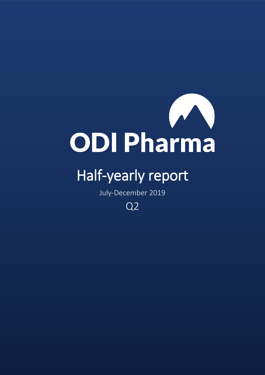

# Half-yearly report

July-December 2019

Q2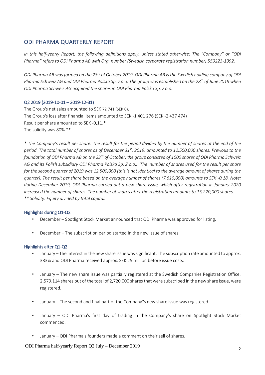## ODI PHARMA QUARTERLY REPORT

*In this half-yearly Report, the following definitions apply, unless stated otherwise: The "Company" or "ODI Pharma" refers to ODI Pharma AB with Org. number (Swedish corporate registration number) 559223-1392.*

ODI Pharma AB was formed on the 23<sup>rd</sup> of October 2019. ODI Pharma AB is the Swedish holding company of ODI *Pharma Schweiz AG and ODI Pharma Polska Sp. z o.o. The group was established on the 28 th of June 2018 when ODI Pharma Schweiz AG acquired the shares in ODI Pharma Polska Sp. z o.o..*

#### Q2 2019 (2019-10-01 – 2019-12-31)

The Group's net sales amounted to SEK 72 741 (SEK 0). The Group's loss after financial items amounted to SEK -1 401 276 (SEK -2 437 474) Result per share amounted to SEK -0,11.\* The solidity was 80%.\*\*

*\* The Company's result per share: The result for the period divided by the number of shares at the end of the period. The total number of shares as of December 31st , 2019, amounted to 12,500,000 shares. Previous to the foundation of ODI Pharma AB on the 23 rd of October, the group consisted of 1000 shares of ODI Pharma Schweiz AG and its Polish subsidiary ODI Pharma Polska Sp. Z o.o... The number of shares used for the result per share for the second quarter of 2019 was 12,500,000 (this is not identical to the average amount of shares during the quarter). The result per share based on the average number of shares (7,610,000) amounts to SEK -0,18. Note: during December 2019, ODI Pharma carried out a new share issue, which after registration in January 2020 increased the number of shares. The number of shares after the registration amounts to 15,220,000 shares. \*\* Solidity: Equity divided by total capital.* 

#### Highlights during Q1-Q2

- December Spotlight Stock Market announced that ODI Pharma was approved for listing.
- December The subscription period started in the new issue of shares.

#### Highlights after Q1-Q2

- January The interest in the new share issue was significant. The subscription rate amounted to approx. 383% and ODI Pharma received approx. SEK 25 million before issue costs.
- January The new share issue was partially registered at the Swedish Companies Registration Office. 2,579,114 shares out of the total of 2,720,000 shares that were subscribed in the new share issue, were registered.
- January The second and final part of the Company"s new share issue was registered.
- January ODI Pharma's first day of trading in the Company's share on Spotlight Stock Market commenced.
- January ODI Pharma's founders made a comment on their sell of shares.

ODI Pharma half-yearly Report Q2 July – December 2019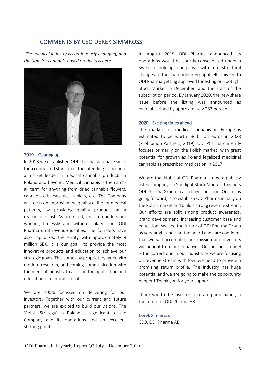## COMMENTS BY CEO DEREK SIMMROSS

*"The medical industry is continuously changing, and the time for cannabis-based products is here."*



#### 2019 – Gearing up

In 2018 we established ODI Pharma, and have since then conducted start-up of the intending to become a market leader in medical cannabis products in Poland and beyond. Medical cannabis is the catchall term for anything from dried cannabis flowers, cannabis oils, capsules, tablets, etc. The Company will focus on improving the quality of life for medical patients, by providing quality products at a reasonable cost. As promised, the co-founders are working tirelessly and without salary from ODI Pharma until revenue justifies. The founders have also capitalized the entity with approximately 8 million SEK. It is our goal to provide the most innovative products and education to achieve our strategic goals. This comes by proprietary work with modern research, and coming communication with the medical industry to assist in the application and education of medical cannabis.

We are 100% focussed on delivering for our investors. Together with our current and future partners, we are excited to build our visions. The 'Polish Strategy' in Poland is significant to the Company and its operations and an excellent starting point.

In August 2019 ODI Pharma announced its operations would be shortly consolidated under a Swedish holding company, with no structural changes to the shareholder group itself. This led to ODI Pharma getting approved for listing on Spotlight Stock Market in December, and the start of the subscription period. By January 2020, the new share issue before the listing was announced as oversubscribed by approximately 283 percent.

#### 2020 - Exciting times ahead

The market for medical cannabis in Europe is estimated to be worth 58 billion euros in 2028 (Prohibition Partners, 2019). ODI Pharma currently focuses primarily on the Polish market, with great potential for growth as Poland legalized medicinal cannabis as prescribed medication in 2017.

We are thankful that ODI Pharma is now a publicly listed company on Spotlight Stock Market. This puts ODI Pharma Group in a stronger position. Our focus going forward; is to establish ODI Pharma initially on the Polish market and build a strong revenue stream. Our efforts are split among product awareness, brand development, increasing customer base and education. We see the future of ODI Pharma Group as very bright and that the board and I are confident that we will accomplish our mission and investors will benefit from our initiatives. Our business model is the correct one in our industry as we are focusing on revenue stream with low overhead to provide a promising return profile. The industry has huge potential and we are going to make the opportunity happen! Thank you for your support!

Thank you to the investors that are participating in the future of ODI Pharma AB.

#### Derek Simmross

CEO, ODI Pharma AB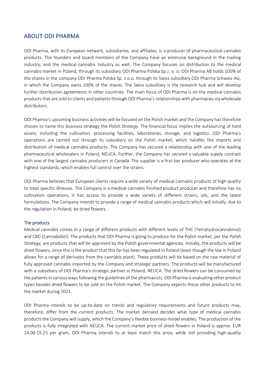## ABOUT ODI PHARMA

ODI Pharma, with its European network, subsidiaries, and affiliates, is a producer of pharmaceutical cannabis products. The founders and board members of the Company have an extensive background in the trading industry, and the medical cannabis industry as well. The Company focuses on distribution to the medical cannabis market in Poland, through its subsidiary ODI Pharma Polska Sp z. o. o. ODI Pharma AB holds 100% of the shares in the company ODI Pharma Polska Sp. z o.o. through its Swiss subsidiary ODI Pharma Schweiz AG, in which the Company owns 100% of the shares. The Swiss subsidiary is the research hub and will develop further distribution agreements in other countries. The main focus of ODI Pharma is on the medical cannabis products that are sold to clients and patients through ODI Pharma's relationships with pharmacies via wholesale distributors.

ODI Pharma's upcoming business activities will be focused on the Polish market and the Company has therefore chosen to name this business strategy the *Polish Strategy*. The financial focus implies the outsourcing of hard assets, including the cultivation, processing facilities, laboratories, storage, and logistics. ODI Pharma's operations are carried out through its subsidiary on the Polish market, which handles the imports and distribution of medical cannabis products. The Company has secured a relationship with one of the leading pharmaceutical wholesalers in Poland, NEUCA. Further, the Company has secured a valuable supply contract with one of the largest cannabis producers in Canada. The supplier is a first-tier producer who operates at the highest standards, which enables full control over the strains.

ODI Pharma believes that European clients require a wide variety of medical cannabis products of high quality to treat specific illnesses. The Company is a medical cannabis finished product producer and therefore has no cultivation operations, it has access to provide a wide variety of different strains, oils, and the latest formulations. The Company intends to provide a range of medical cannabis products which will initially, due to the regulation in Poland, be dried flowers.

#### The products

Medical cannabis comes in a range of different products with different levels of THC (Tetrahydrocannabinol) and CBD (Cannabidiol). The products that ODI Pharma is going to produce for the Polish market, per the *Polish Strategy,* are products that will be approved by the Polish governmental agencies. Initially, the products will be dried flowers, since this is the product that this far has been regulated in Poland (even though the law in Poland allows for a range of derivates from the cannabis plant). These products will be based on the raw material of fully approved cannabis imported by the Company and strategic partners. The products will be manufactured with a subsidiary of ODI Pharma's strategic partner in Poland, NEUCA. The dried flowers can be consumed by the patients in various ways following the guidelines of the pharmacists. ODI Pharma is evaluating other product types besides dried flowers to be sold on the Polish market. The Company expects these other products to hit the market during 2021.

ODI Pharma intends to be up-to-date on trends and regulatory requirements and future products may, therefore, differ from the current products. The market demand decides what type of medical cannabis products the Company will supply, which the Company's flexible business model enables. The production of the products is fully integrated with NEUCA. The current market price of dried flowers in Poland is approx. EUR 14.00-15.25 per gram, ODI Pharma intends to at least match this price, while still providing high-quality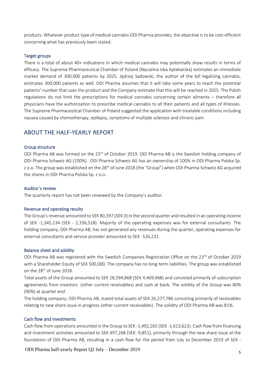products. Whatever product type of medical cannabis ODI Pharma provides, the objective is to be cost-efficient concerning what has previously been stated.

#### Target groups

There is a total of about 40+ indications in which medical cannabis may potentially show results in terms of efficacy. The Supreme Pharmaceutical Chamber of Poland (Naczelna Izba Aptekarska) estimates an immediate market demand of 300,000 patients by 2025. Jędrzej Sadowski, the author of the bill legalizing cannabis, estimates 300,000 patients as well. ODI Pharma assumes that it will take some years to reach the potential patients' number that uses the product and the Company estimate that this will be reached in 2025. The Polish regulations do not limit the prescriptions for medical cannabis concerning certain ailments – therefore all physicians have the authorization to prescribe medical cannabis to all their patients and all types of illnesses. The Supreme Pharmaceutical Chamber of Poland suggested the application with treatable conditions including nausea caused by chemotherapy, epilepsy, symptoms of multiple sclerosis and chronic pain.

## ABOUT THE HALF-YEARLY REPORT

#### Group structure

ODI Pharma AB was formed on the 23<sup>rd</sup> of October 2019. ODI Pharma AB is the Swedish holding company of ODI Pharma Schweiz AG (100%). ODI Pharma Schweiz AG has an ownership of 100% in ODI Pharma Polska Sp. z o.o. The group was established on the 28<sup>th</sup> of June 2018 (the "Group") when ODI Pharma Schweiz AG acquired the shares in ODI Pharma Polska Sp. z o.o..

#### Auditor´s review

The quarterly report has not been reviewed by the Company's auditor.

#### Revenue and operating results

The Group's revenue amounted to SEK 80,397 (SEK 0) in the second quarter and resulted in an operating income of SEK -1,345,134 (SEK - 2,336,518). Majority of the operating expenses was for external consultants. The holding company, ODI Pharma AB, has not generated any revenues during the quarter, operating expenses for external consultants and service provider amounted to SEK -526,231.

#### Balance sheet and solidity

ODI Pharma AB was registered with the Swedish Companies Registration Office on the 23<sup>rd</sup> of October 2019 with a Shareholder Equity of SEK 500,000. The company has no long-term liabilities. The group was established on the 28<sup>th</sup> of June 2018.

Total assets of the Group amounted to SEK 28,594,868 (SEK 4,469,468) and consisted primarily of subscription agreements from investors (other current receivables) and cash at bank. The solidity of the Group was 80% (90%) at quarter end.

The holding company, ODI Pharma AB, stated total assets of SEK 26,277,786 consisting primarily of receivables relating to new share issue in progress (other current receivables). The solidity of ODI Pharma AB was 81%.

#### Cash flow and investments

Cash flow from operations amounted in the Group to SEK -1,492,265 (SEK -1,613,623). Cash flow from financing and investment activities amounted to SEK 497,268 (SEK -9,851), primarily through the new share issue at the foundation of ODI Pharma AB, resulting in a cash flow for the period from July to December 2019 of SEK -

ODI Pharma half-yearly Report Q2 July – December 2019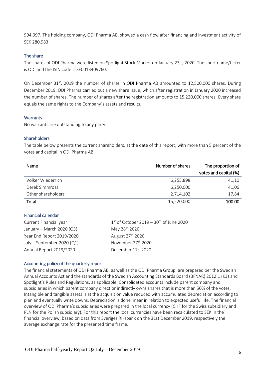994,997. The holding company, ODI Pharma AB, showed a cash flow after financing and investment activity of SEK 280,983.

#### The share

The shares of ODI Pharma were listed on Spotlight Stock Market on January 23<sup>rd</sup>, 2020. The short name/ticker is ODI and the ISIN code is SE0013409760.

On December 31<sup>st</sup>, 2019 the number of shares in ODI Pharma AB amounted to 12,500,000 shares. During December 2019, ODI Pharma carried out a new share issue, which after registration in January 2020 increased the number of shares. The number of shares after the registration amounts to 15,220,000 shares. Every share equals the same rights to the Company´s assets and results.

#### **Warrants**

No warrants are outstanding to any party.

#### **Shareholders**

The table below presents the current shareholders, at the date of this report, with more than 5 percent of the votes and capital in ODI Pharma AB.

| Name               | Number of shares | The proportion of     |
|--------------------|------------------|-----------------------|
|                    |                  | votes and capital (%) |
| Volker Wiederrich  | 6,255,898        | 41,10                 |
| Derek Simmross     | 6,250,000        | 41,06                 |
| Other shareholders | 2,714,102        | 17,84                 |
| Total              | 15,220,000       | 100.00                |

#### Financial calendar

| $1st$ of October 2019 – 30 <sup>th</sup> of June 2020 |
|-------------------------------------------------------|
| May 28 <sup>th</sup> 2020                             |
| August 27 <sup>th</sup> 2020                          |
| November 27 <sup>th</sup> 2020                        |
| December 17 <sup>th</sup> 2020                        |
|                                                       |

#### Accounting policy of the quarterly report

The financial statements of ODI Pharma AB, as well as the ODI Pharma Group, are prepared per the Swedish Annual Accounts Act and the standards of the Swedish Accounting Standards Board (BFNAR) 2012:1 (K3) and Spotlight's Rules and Regulations, as applicable. Consolidated accounts include parent company and subsidiaries in which parent company direct or indirectly owns shares that is more than 50% of the votes. Intangible and tangible assets is at the acquisition value reduced with accumulated depreciation according to plan and eventually write downs. Depreciation is done linear in relation to expected useful life. The financial overview of ODI Pharma's subsidiaries were prepared in the local currency (CHF for the Swiss subsidiary and PLN for the Polish subsidiary). For this report the local currencies have been recalculated to SEK in the financial overview, based on data from Sveriges Riksbank on the 31st December 2019, respectively the average exchange rate for the presented time frame.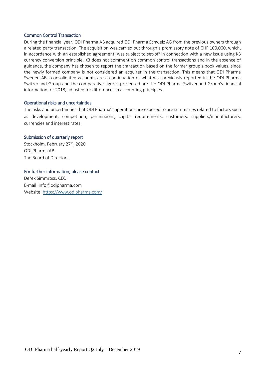#### Common Control Transaction

During the financial year, ODI Pharma AB acquired ODI Pharma Schweiz AG from the previous owners through a related party transaction. The acquisition was carried out through a promissory note of CHF 100,000, which, in accordance with an established agreement, was subject to set-off in connection with a new issue using K3 currency conversion principle. K3 does not comment on common control transactions and in the absence of guidance, the company has chosen to report the transaction based on the former group's book values, since the newly formed company is not considered an acquirer in the transaction. This means that ODI Pharma Sweden AB's consolidated accounts are a continuation of what was previously reported in the ODI Pharma Switzerland Group and the comparative figures presented are the ODI Pharma Switzerland Group's financial information for 2018, adjusted for differences in accounting principles.

#### Operational risks and uncertainties

The risks and uncertainties that ODI Pharma's operations are exposed to are summaries related to factors such as development, competition, permissions, capital requirements, customers, suppliers/manufacturers, currencies and interest rates.

#### Submission of quarterly report

Stockholm, February 27<sup>th</sup>, 2020 ODI Pharma AB The Board of Directors

#### For further information, please contact

Derek Simmross, CEO E-mail: info@odipharma.com Website:<https://www.odipharma.com/>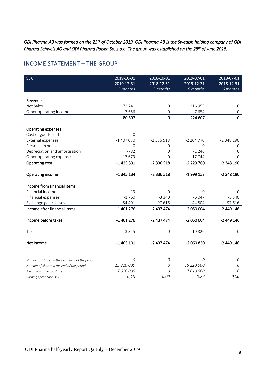*ODI Pharma AB was formed on the 23rd of October 2019. ODI Pharma AB is the Swedish holding company of ODI Pharma Schweiz AG and ODI Pharma Polska Sp. z o.o. The group was established on the 28th of June 2018.* 

## INCOME STATEMENT – THE GROUP

| <b>SEK</b>                                      | 2019-10-01<br>2019-12-31<br>3 months | 2018-10-01<br>2018-12-31<br>$\frac{3}{2}$ months | 2019-07-01<br>2019-12-31<br>6 months | 2018-07-01<br>2018-12-31<br>6 months |
|-------------------------------------------------|--------------------------------------|--------------------------------------------------|--------------------------------------|--------------------------------------|
|                                                 |                                      |                                                  |                                      |                                      |
| Revenue                                         |                                      |                                                  |                                      |                                      |
| Net Sales                                       | 72 741                               | $\overline{0}$                                   | 216 953                              | 0                                    |
| Other operating income                          | 7656                                 | $\Omega$                                         | 7654                                 | $\mathbf{0}$                         |
|                                                 | 80 397                               | $\overline{0}$                                   | 224 607                              | $\mathbf 0$                          |
| <b>Operating expenses</b>                       |                                      |                                                  |                                      |                                      |
| Cost of goods sold                              | $\Omega$                             |                                                  |                                      |                                      |
| <b>External expenses</b>                        | $-1407070$                           | $-2336518$                                       | $-2204770$                           | $-2348190$                           |
| Personal expenses                               | 0                                    | $\Omega$                                         | $\mathbf 0$                          | 0                                    |
| Depreciation and amortisation                   | $-782$                               | $\Omega$                                         | $-1246$                              | $\Omega$                             |
| Other operating expenses                        | $-17679$                             | 0                                                | $-17744$                             | $\Omega$                             |
| Operating cost                                  | $-1$ 425 531                         | -2 336 518                                       | -2 223 760                           | -2 348 190                           |
| Operating income                                | $-1345134$                           | $-2336518$                                       | -1 999 153                           | -2 348 190                           |
|                                                 |                                      |                                                  |                                      |                                      |
| Income from financial items                     |                                      |                                                  |                                      |                                      |
| Financial income                                | 19                                   | $\Omega$                                         | $\mathbf 0$                          | $\Omega$                             |
| Financial expenses                              | $-1760$                              | $-3340$                                          | $-6047$                              | $-3340$                              |
| Exchange gain/ losses                           | $-54401$                             | $-97616$                                         | $-44804$                             | $-97616$                             |
| Income after financial items                    | $-1401276$                           | $-2437474$                                       | $-2050004$                           | $-2449146$                           |
| Income before taxes                             | $-1401276$                           | $-2437474$                                       | $-2050004$                           | $-2449146$                           |
|                                                 |                                      |                                                  |                                      |                                      |
| Taxes                                           | $-3825$                              | $\mathsf{O}\xspace$                              | $-10826$                             | $\mathbf{O}$                         |
| Net income                                      | $-1405101$                           | $-2437474$                                       | -2 060 830                           | $-2449146$                           |
|                                                 |                                      |                                                  |                                      |                                      |
| Number of shares in the beginning of the period | 0                                    | 0                                                | 0                                    | 0                                    |
| Number of shares in the end of the period       | 15 220 000                           | 0                                                | 15 220 000                           | 0                                    |
| Average number of shares                        | 7610000                              | 0                                                | 7610000                              | 0                                    |
| Earnings per share, sek                         | $-0,18$                              | 0,00                                             | $-0,27$                              | 0,00                                 |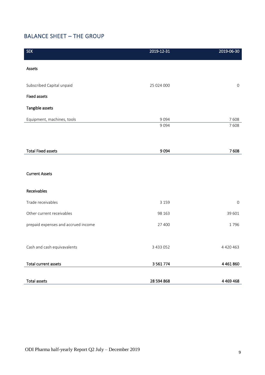## BALANCE SHEET – THE GROUP

| <b>SEK</b>                          | 2019-12-31    | 2019-06-30          |
|-------------------------------------|---------------|---------------------|
| Assets                              |               |                     |
| Subscribed Capital unpaid           | 25 024 000    | $\mathsf{O}\xspace$ |
| <b>Fixed assets</b>                 |               |                     |
| Tangible assets                     |               |                     |
| Equipment, machines, tools          | 9 0 9 4       | 7608                |
|                                     | 9 0 9 4       | 7608                |
|                                     |               |                     |
| <b>Total Fixed assets</b>           | 9094          | 7608                |
|                                     |               |                     |
| <b>Current Assets</b>               |               |                     |
|                                     |               |                     |
| Receivables                         |               |                     |
| Trade receivables                   | 3 1 5 9       | $\mathsf{O}\xspace$ |
| Other current receivables           | 98 163        | 39 601              |
| prepaid expenses and accrued income | 27 400        | 1796                |
|                                     |               |                     |
| Cash and cash equivavalents         | 3 4 3 0 5 2   | 4 4 2 0 4 6 3       |
|                                     |               |                     |
| <b>Total current assets</b>         | 3 5 6 1 7 7 4 | 4 4 6 1 8 6 0       |
| <b>Total assets</b>                 | 28 594 868    | 4 4 69 4 68         |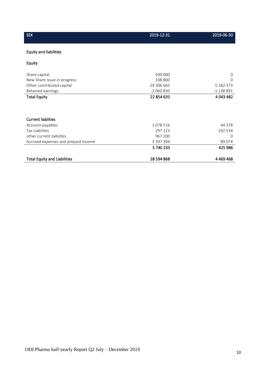| <b>SEK</b>                          | 2019-12-31 | 2019-06-30  |
|-------------------------------------|------------|-------------|
| <b>Equity and liabilities</b>       |            |             |
| Equity                              |            |             |
| Share capital                       | 500 000    | $\Omega$    |
| New Share issue in progress         | 108 800    | $\Omega$    |
| Other contributed capital           | 24 306 665 | 5 182 373   |
| Retained earnings                   | $-2060830$ | $-1138891$  |
| <b>Total Equity</b>                 | 22 854 635 | 4 043 482   |
|                                     |            |             |
| <b>Current liablities</b>           |            |             |
| Account payables                    | 1078516    | 44 3 7 8    |
| <b>Tax Liabilites</b>               | 297 123    | 292 534     |
| other current liabilites            | 967 200    | $\Omega$    |
| Accrued expenses and prepaid income | 3 397 394  | 89074       |
|                                     | 5740233    | 425 986     |
| <b>Total Equity and Liabilities</b> | 28 594 868 | 4 4 69 4 68 |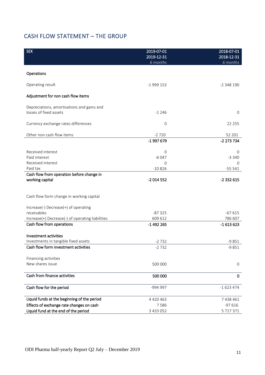## CASH FLOW STATEMENT – THE GROUP

| Operations<br>Operating result<br>$-1999153$<br>$-2348190$<br>Adjustment for non cash flow items<br>Depreciations, amortisations and gains and<br>losses of fixed assets<br>$-1246$<br>$\mathbf 0$<br>Currency exchange rates differences<br>0<br>22 255<br>Other non cash flow items<br>$-2720$<br>52 201<br>-1 997 679<br>-2 273 734<br>Received interest<br>0<br>$\Omega$<br>Paid interest<br>$-6047$<br>$-3340$<br>Received interest<br>0<br>0<br>Paid tax<br>$-55541$<br>$-10826$<br>Cash flow from operation before change in<br>working capital<br>$-2014552$<br>-2 332 615<br>Cash flow form change in working capital<br>Increase(-) Decrease(+) of operating<br>receivables<br>$-67615$<br>$-87325$<br>Increase(+) Decrease(-) of operating liabilities<br>609 612<br>786 607<br>Cash flow from operations<br>-1 492 265<br>$-1613623$<br>Investment activities<br>Investments in tangible fixed assets<br>$-9851$<br>$-2732$<br>Cash flow form investment activities<br>$-2732$<br>$-9851$<br>Financing activities<br>New shares issue<br>500 000<br>$\mathbf 0$<br>Cash from finance activities<br>500 000<br>0<br>Cash flow for the period<br>$-1623474$<br>-994 997<br>Liquid funds at the beginning of the period<br>4 4 2 0 4 6 3<br>7 438 461<br>Effects of exchange rate changes on cash<br>$-97616$<br>7586<br>Liquid fund at the end of the period<br>5 717 371<br>3 433 052 | <b>SEK</b> | 2019-07-01<br>2019-12-31<br>6 months | 2018-07-01<br>2018-12-31<br>6 months |
|--------------------------------------------------------------------------------------------------------------------------------------------------------------------------------------------------------------------------------------------------------------------------------------------------------------------------------------------------------------------------------------------------------------------------------------------------------------------------------------------------------------------------------------------------------------------------------------------------------------------------------------------------------------------------------------------------------------------------------------------------------------------------------------------------------------------------------------------------------------------------------------------------------------------------------------------------------------------------------------------------------------------------------------------------------------------------------------------------------------------------------------------------------------------------------------------------------------------------------------------------------------------------------------------------------------------------------------------------------------------------------------------------|------------|--------------------------------------|--------------------------------------|
|                                                                                                                                                                                                                                                                                                                                                                                                                                                                                                                                                                                                                                                                                                                                                                                                                                                                                                                                                                                                                                                                                                                                                                                                                                                                                                                                                                                                  |            |                                      |                                      |
|                                                                                                                                                                                                                                                                                                                                                                                                                                                                                                                                                                                                                                                                                                                                                                                                                                                                                                                                                                                                                                                                                                                                                                                                                                                                                                                                                                                                  |            |                                      |                                      |
|                                                                                                                                                                                                                                                                                                                                                                                                                                                                                                                                                                                                                                                                                                                                                                                                                                                                                                                                                                                                                                                                                                                                                                                                                                                                                                                                                                                                  |            |                                      |                                      |
|                                                                                                                                                                                                                                                                                                                                                                                                                                                                                                                                                                                                                                                                                                                                                                                                                                                                                                                                                                                                                                                                                                                                                                                                                                                                                                                                                                                                  |            |                                      |                                      |
|                                                                                                                                                                                                                                                                                                                                                                                                                                                                                                                                                                                                                                                                                                                                                                                                                                                                                                                                                                                                                                                                                                                                                                                                                                                                                                                                                                                                  |            |                                      |                                      |
|                                                                                                                                                                                                                                                                                                                                                                                                                                                                                                                                                                                                                                                                                                                                                                                                                                                                                                                                                                                                                                                                                                                                                                                                                                                                                                                                                                                                  |            |                                      |                                      |
|                                                                                                                                                                                                                                                                                                                                                                                                                                                                                                                                                                                                                                                                                                                                                                                                                                                                                                                                                                                                                                                                                                                                                                                                                                                                                                                                                                                                  |            |                                      |                                      |
|                                                                                                                                                                                                                                                                                                                                                                                                                                                                                                                                                                                                                                                                                                                                                                                                                                                                                                                                                                                                                                                                                                                                                                                                                                                                                                                                                                                                  |            |                                      |                                      |
|                                                                                                                                                                                                                                                                                                                                                                                                                                                                                                                                                                                                                                                                                                                                                                                                                                                                                                                                                                                                                                                                                                                                                                                                                                                                                                                                                                                                  |            |                                      |                                      |
|                                                                                                                                                                                                                                                                                                                                                                                                                                                                                                                                                                                                                                                                                                                                                                                                                                                                                                                                                                                                                                                                                                                                                                                                                                                                                                                                                                                                  |            |                                      |                                      |
|                                                                                                                                                                                                                                                                                                                                                                                                                                                                                                                                                                                                                                                                                                                                                                                                                                                                                                                                                                                                                                                                                                                                                                                                                                                                                                                                                                                                  |            |                                      |                                      |
|                                                                                                                                                                                                                                                                                                                                                                                                                                                                                                                                                                                                                                                                                                                                                                                                                                                                                                                                                                                                                                                                                                                                                                                                                                                                                                                                                                                                  |            |                                      |                                      |
|                                                                                                                                                                                                                                                                                                                                                                                                                                                                                                                                                                                                                                                                                                                                                                                                                                                                                                                                                                                                                                                                                                                                                                                                                                                                                                                                                                                                  |            |                                      |                                      |
|                                                                                                                                                                                                                                                                                                                                                                                                                                                                                                                                                                                                                                                                                                                                                                                                                                                                                                                                                                                                                                                                                                                                                                                                                                                                                                                                                                                                  |            |                                      |                                      |
|                                                                                                                                                                                                                                                                                                                                                                                                                                                                                                                                                                                                                                                                                                                                                                                                                                                                                                                                                                                                                                                                                                                                                                                                                                                                                                                                                                                                  |            |                                      |                                      |
|                                                                                                                                                                                                                                                                                                                                                                                                                                                                                                                                                                                                                                                                                                                                                                                                                                                                                                                                                                                                                                                                                                                                                                                                                                                                                                                                                                                                  |            |                                      |                                      |
|                                                                                                                                                                                                                                                                                                                                                                                                                                                                                                                                                                                                                                                                                                                                                                                                                                                                                                                                                                                                                                                                                                                                                                                                                                                                                                                                                                                                  |            |                                      |                                      |
|                                                                                                                                                                                                                                                                                                                                                                                                                                                                                                                                                                                                                                                                                                                                                                                                                                                                                                                                                                                                                                                                                                                                                                                                                                                                                                                                                                                                  |            |                                      |                                      |
|                                                                                                                                                                                                                                                                                                                                                                                                                                                                                                                                                                                                                                                                                                                                                                                                                                                                                                                                                                                                                                                                                                                                                                                                                                                                                                                                                                                                  |            |                                      |                                      |
|                                                                                                                                                                                                                                                                                                                                                                                                                                                                                                                                                                                                                                                                                                                                                                                                                                                                                                                                                                                                                                                                                                                                                                                                                                                                                                                                                                                                  |            |                                      |                                      |
|                                                                                                                                                                                                                                                                                                                                                                                                                                                                                                                                                                                                                                                                                                                                                                                                                                                                                                                                                                                                                                                                                                                                                                                                                                                                                                                                                                                                  |            |                                      |                                      |
|                                                                                                                                                                                                                                                                                                                                                                                                                                                                                                                                                                                                                                                                                                                                                                                                                                                                                                                                                                                                                                                                                                                                                                                                                                                                                                                                                                                                  |            |                                      |                                      |
|                                                                                                                                                                                                                                                                                                                                                                                                                                                                                                                                                                                                                                                                                                                                                                                                                                                                                                                                                                                                                                                                                                                                                                                                                                                                                                                                                                                                  |            |                                      |                                      |
|                                                                                                                                                                                                                                                                                                                                                                                                                                                                                                                                                                                                                                                                                                                                                                                                                                                                                                                                                                                                                                                                                                                                                                                                                                                                                                                                                                                                  |            |                                      |                                      |
|                                                                                                                                                                                                                                                                                                                                                                                                                                                                                                                                                                                                                                                                                                                                                                                                                                                                                                                                                                                                                                                                                                                                                                                                                                                                                                                                                                                                  |            |                                      |                                      |
|                                                                                                                                                                                                                                                                                                                                                                                                                                                                                                                                                                                                                                                                                                                                                                                                                                                                                                                                                                                                                                                                                                                                                                                                                                                                                                                                                                                                  |            |                                      |                                      |
|                                                                                                                                                                                                                                                                                                                                                                                                                                                                                                                                                                                                                                                                                                                                                                                                                                                                                                                                                                                                                                                                                                                                                                                                                                                                                                                                                                                                  |            |                                      |                                      |
|                                                                                                                                                                                                                                                                                                                                                                                                                                                                                                                                                                                                                                                                                                                                                                                                                                                                                                                                                                                                                                                                                                                                                                                                                                                                                                                                                                                                  |            |                                      |                                      |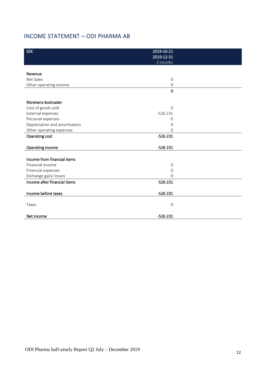## INCOME STATEMENT – ODI PHARMA AB

| <b>SEK</b>                    | $2019 - 10 - 21$<br>2019-12-31 |  |
|-------------------------------|--------------------------------|--|
|                               | 3 months                       |  |
|                               |                                |  |
| Revenue                       |                                |  |
| Net Sales                     | $\overline{O}$                 |  |
| Other operating income        | $\mathbf{O}$                   |  |
|                               | $\mathbf 0$                    |  |
|                               |                                |  |
| Rörelsens kostnader           |                                |  |
| Cost of goods sold            | $\Omega$                       |  |
| External expenses             | $-526231$                      |  |
| Personal expenses             | $\mathbf 0$                    |  |
| Depreciation and amortisation | $\mathbf 0$                    |  |
| Other operating expenses      | $\Omega$                       |  |
| Operating cost                | $-526231$                      |  |
| Operating income              | $-526231$                      |  |
|                               |                                |  |
| Income from financial items   |                                |  |
| Financial income              | $\mathbf 0$                    |  |
| Financial expenses            | $\mathbf 0$                    |  |
| Exchange gain/losses          | $\Omega$                       |  |
| Income after financial items  | $-526231$                      |  |
| Income before taxes           |                                |  |
|                               | $-526231$                      |  |
| Taxes                         | $\mathbf 0$                    |  |
|                               |                                |  |
| Net income                    | $-526231$                      |  |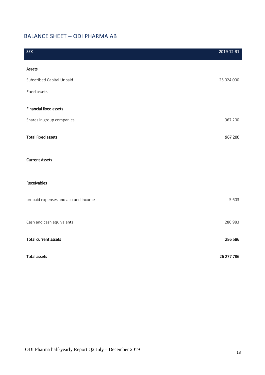## BALANCE SHEET – ODI PHARMA AB

| <b>SEK</b>                          | 2019-12-31 |
|-------------------------------------|------------|
| Assets                              |            |
| Subscribed Capital Unpaid           | 25 024 000 |
| <b>Fixed assets</b>                 |            |
| <b>Financial fixed assets</b>       |            |
| Shares in group companies           | 967 200    |
| <b>Total Fixed assets</b>           | 967 200    |
|                                     |            |
| <b>Current Assets</b>               |            |
|                                     |            |
| Receivables                         |            |
| prepaid expenses and accrued income | 5 6 0 3    |
|                                     |            |
| Cash and cash equivalents           | 280 983    |
| Total current assets                | 286 586    |
|                                     |            |
| <b>Total assets</b>                 | 26 277 786 |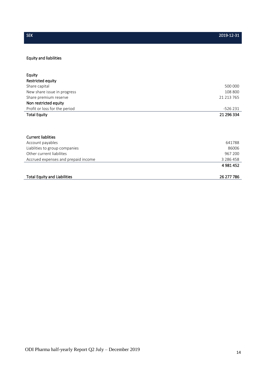### Equity and liabilities

| Equity                              |               |
|-------------------------------------|---------------|
| Restricted equity                   |               |
| Share capital                       | 500 000       |
| New share issue in progress         | 108 800       |
| Share premium reserve               | 21 213 765    |
| Non restricted equity               |               |
| Profit or loss for the period       | $-526231$     |
| <b>Total Equity</b>                 | 21 296 334    |
|                                     |               |
|                                     |               |
|                                     |               |
| <b>Current liablities</b>           |               |
| Account payables                    | 641788        |
| Liablities to group companies       | 86006         |
| Other current liabilites            | 967 200       |
| Accrued expenses and prepaid income | 3 2 8 6 4 5 8 |
|                                     | 4 981 452     |
|                                     |               |
| <b>Total Equity and Liabilities</b> | 26 277 786    |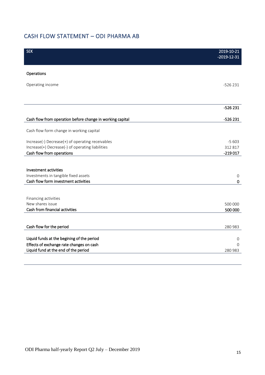## CASH FLOW STATEMENT – ODI PHARMA AB

| <b>SEK</b>                                                                    | 2019-10-21<br>$-2019-12-31$ |
|-------------------------------------------------------------------------------|-----------------------------|
| Operations                                                                    |                             |
| Operating income                                                              | $-526231$                   |
|                                                                               |                             |
|                                                                               | $-526231$                   |
| Cash flow from operation before change in working capital                     | $-526231$                   |
| Cash flow form change in working capital                                      |                             |
| Increase(-) Decrease(+) of operating receivables                              | $-5603$                     |
| Increase(+) Decrease(-) of operating liabilities<br>Cash flow from operations | 312 817<br>$-219017$        |
|                                                                               |                             |
| Investment activities                                                         |                             |
| Investments in tangible fixed assets                                          | $\mathbf 0$                 |
| Cash flow form investment activities                                          | 0                           |
|                                                                               |                             |
| Financing activities<br>New shares issue                                      |                             |
| Cash from financial activities                                                | 500 000<br>500 000          |
|                                                                               |                             |
| Cash flow for the period                                                      | 280 983                     |
| Liquid funds at the begining of the period                                    | 0                           |
| Effects of exchange rate changes on cash                                      | $\Omega$                    |
| Liquid fund at the end of the period                                          | 280 983                     |